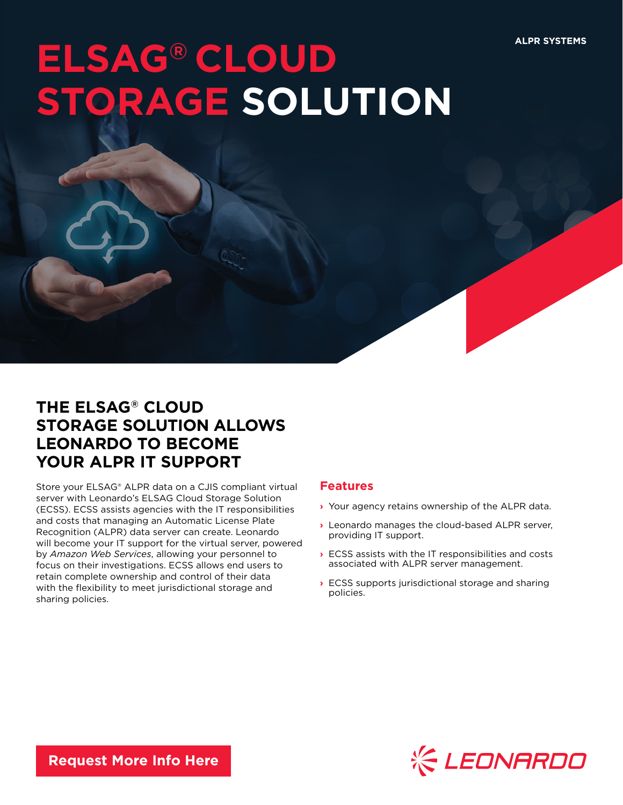## **ELSAG® CLOUD** TORAGE SOLUTION

## **THE ELSAG® CLOUD STORAGE SOLUTION ALLOWS LEONARDO TO BECOME YOUR ALPR IT SUPPORT**

Store your ELSAG® ALPR data on a CJIS compliant virtual server with Leonardo's ELSAG Cloud Storage Solution (ECSS). ECSS assists agencies with the IT responsibilities and costs that managing an Automatic License Plate Recognition (ALPR) data server can create. Leonardo will become your IT support for the virtual server, powered by *Amazon Web Services*, allowing your personnel to focus on their investigations. ECSS allows end users to retain complete ownership and control of their data with the flexibility to meet jurisdictional storage and sharing policies.

## **Features**

- **›** Your agency retains ownership of the ALPR data.
- **›** Leonardo manages the cloud-based ALPR server, providing IT support.
- **›** ECSS assists with the IT responsibilities and costs associated with ALPR server management.
- **›** ECSS supports jurisdictional storage and sharing policies.